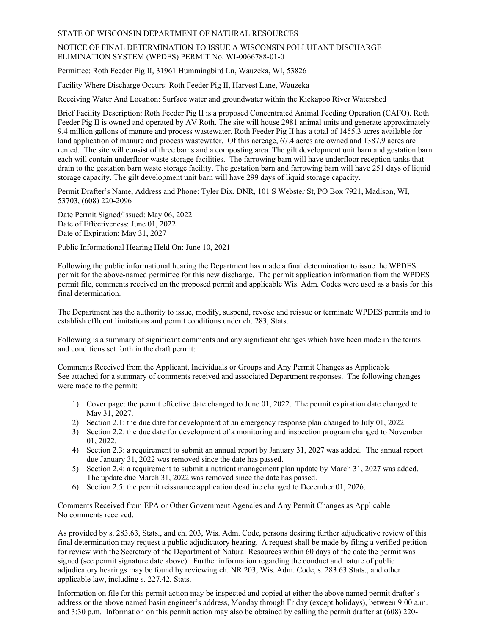#### STATE OF WISCONSIN DEPARTMENT OF NATURAL RESOURCES

#### NOTICE OF FINAL DETERMINATION TO ISSUE A WISCONSIN POLLUTANT DISCHARGE ELIMINATION SYSTEM (WPDES) PERMIT No. WI-0066788-01-0

Permittee: Roth Feeder Pig II, 31961 Hummingbird Ln, Wauzeka, WI, 53826

Facility Where Discharge Occurs: Roth Feeder Pig II, Harvest Lane, Wauzeka

Receiving Water And Location: Surface water and groundwater within the Kickapoo River Watershed

Brief Facility Description: Roth Feeder Pig II is a proposed Concentrated Animal Feeding Operation (CAFO). Roth Feeder Pig II is owned and operated by AV Roth. The site will house 2981 animal units and generate approximately 9.4 million gallons of manure and process wastewater. Roth Feeder Pig II has a total of 1455.3 acres available for land application of manure and process wastewater. Of this acreage, 67.4 acres are owned and 1387.9 acres are rented. The site will consist of three barns and a composting area. The gilt development unit barn and gestation barn each will contain underfloor waste storage facilities. The farrowing barn will have underfloor reception tanks that drain to the gestation barn waste storage facility. The gestation barn and farrowing barn will have 251 days of liquid storage capacity. The gilt development unit barn will have 299 days of liquid storage capacity.

Permit Drafter's Name, Address and Phone: Tyler Dix, DNR, 101 S Webster St, PO Box 7921, Madison, WI, 53703, (608) 220-2096

Date Permit Signed/Issued: May 06, 2022 Date of Effectiveness: June 01, 2022 Date of Expiration: May 31, 2027

Public Informational Hearing Held On: June 10, 2021

Following the public informational hearing the Department has made a final determination to issue the WPDES permit for the above-named permittee for this new discharge. The permit application information from the WPDES permit file, comments received on the proposed permit and applicable Wis. Adm. Codes were used as a basis for this final determination.

The Department has the authority to issue, modify, suspend, revoke and reissue or terminate WPDES permits and to establish effluent limitations and permit conditions under ch. 283, Stats.

Following is a summary of significant comments and any significant changes which have been made in the terms and conditions set forth in the draft permit:

Comments Received from the Applicant, Individuals or Groups and Any Permit Changes as Applicable See attached for a summary of comments received and associated Department responses. The following changes were made to the permit:

- 1) Cover page: the permit effective date changed to June 01, 2022. The permit expiration date changed to May 31, 2027.
- 2) Section 2.1: the due date for development of an emergency response plan changed to July 01, 2022.
- 3) Section 2.2: the due date for development of a monitoring and inspection program changed to November 01, 2022.
- 4) Section 2.3: a requirement to submit an annual report by January 31, 2027 was added. The annual report due January 31, 2022 was removed since the date has passed.
- 5) Section 2.4: a requirement to submit a nutrient management plan update by March 31, 2027 was added. The update due March 31, 2022 was removed since the date has passed.
- 6) Section 2.5: the permit reissuance application deadline changed to December 01, 2026.

Comments Received from EPA or Other Government Agencies and Any Permit Changes as Applicable No comments received.

As provided by s. 283.63, Stats., and ch. 203, Wis. Adm. Code, persons desiring further adjudicative review of this final determination may request a public adjudicatory hearing. A request shall be made by filing a verified petition for review with the Secretary of the Department of Natural Resources within 60 days of the date the permit was signed (see permit signature date above). Further information regarding the conduct and nature of public adjudicatory hearings may be found by reviewing ch. NR 203, Wis. Adm. Code, s. 283.63 Stats., and other applicable law, including s. 227.42, Stats.

Information on file for this permit action may be inspected and copied at either the above named permit drafter's address or the above named basin engineer's address, Monday through Friday (except holidays), between 9:00 a.m. and 3:30 p.m. Information on this permit action may also be obtained by calling the permit drafter at (608) 220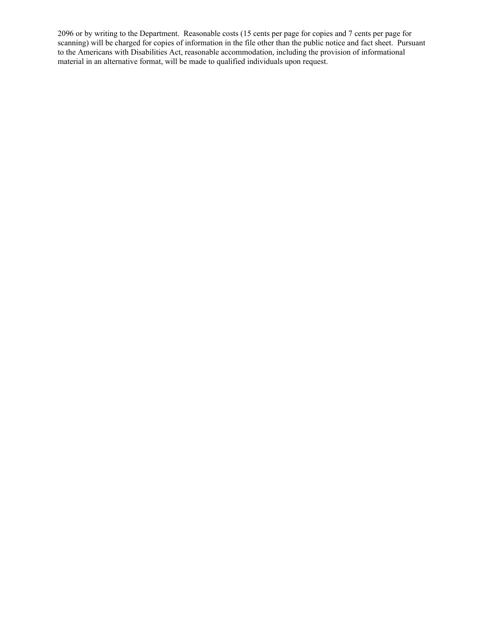2096 or by writing to the Department. Reasonable costs (15 cents per page for copies and 7 cents per page for scanning) will be charged for copies of information in the file other than the public notice and fact sheet. Pursuant to the Americans with Disabilities Act, reasonable accommodation, including the provision of informational material in an alternative format, will be made to qualified individuals upon request.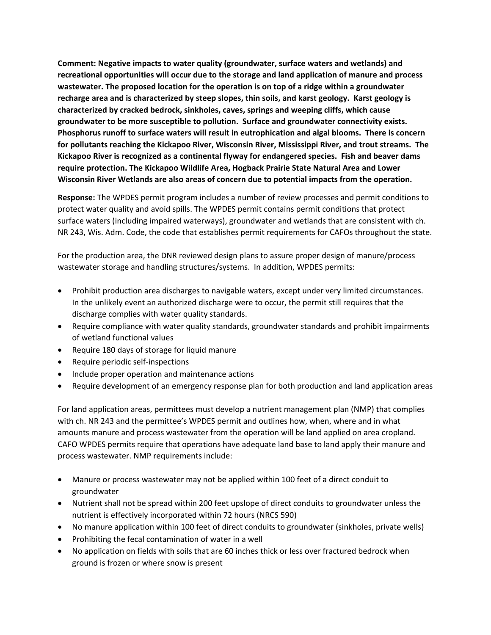**Comment: Negative impacts to water quality (groundwater, surface waters and wetlands) and recreational opportunities will occur due to the storage and land application of manure and process wastewater. The proposed location for the operation is on top of a ridge within a groundwater recharge area and is characterized by steep slopes, thin soils, and karst geology. Karst geology is characterized by cracked bedrock, sinkholes, caves, springs and weeping cliffs, which cause groundwater to be more susceptible to pollution. Surface and groundwater connectivity exists. Phosphorus runoff to surface waters will result in eutrophication and algal blooms. There is concern for pollutants reaching the Kickapoo River, Wisconsin River, Mississippi River, and trout streams. The Kickapoo River is recognized as a continental flyway for endangered species. Fish and beaver dams require protection. The Kickapoo Wildlife Area, Hogback Prairie State Natural Area and Lower Wisconsin River Wetlands are also areas of concern due to potential impacts from the operation.** 

**Response:** The WPDES permit program includes a number of review processes and permit conditions to protect water quality and avoid spills. The WPDES permit contains permit conditions that protect surface waters (including impaired waterways), groundwater and wetlands that are consistent with ch. NR 243, Wis. Adm. Code, the code that establishes permit requirements for CAFOs throughout the state.

For the production area, the DNR reviewed design plans to assure proper design of manure/process wastewater storage and handling structures/systems. In addition, WPDES permits:

- Prohibit production area discharges to navigable waters, except under very limited circumstances. In the unlikely event an authorized discharge were to occur, the permit still requires that the discharge complies with water quality standards.
- Require compliance with water quality standards, groundwater standards and prohibit impairments of wetland functional values
- Require 180 days of storage for liquid manure
- Require periodic self-inspections
- Include proper operation and maintenance actions
- Require development of an emergency response plan for both production and land application areas

For land application areas, permittees must develop a nutrient management plan (NMP) that complies with ch. NR 243 and the permittee's WPDES permit and outlines how, when, where and in what amounts manure and process wastewater from the operation will be land applied on area cropland. CAFO WPDES permits require that operations have adequate land base to land apply their manure and process wastewater. NMP requirements include:

- Manure or process wastewater may not be applied within 100 feet of a direct conduit to groundwater
- Nutrient shall not be spread within 200 feet upslope of direct conduits to groundwater unless the nutrient is effectively incorporated within 72 hours (NRCS 590)
- No manure application within 100 feet of direct conduits to groundwater (sinkholes, private wells)
- Prohibiting the fecal contamination of water in a well
- No application on fields with soils that are 60 inches thick or less over fractured bedrock when ground is frozen or where snow is present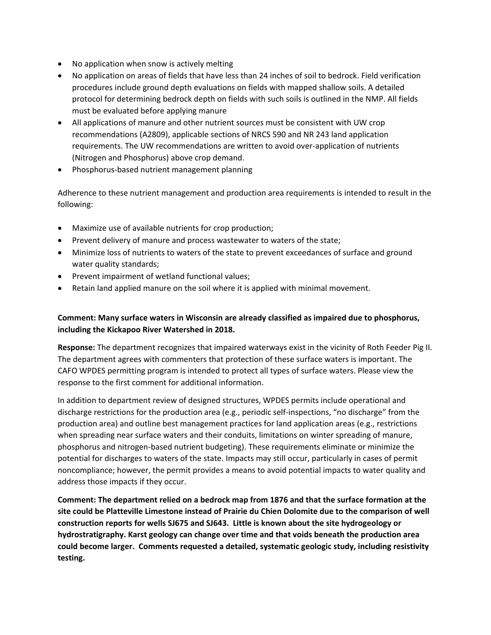- No application when snow is actively melting
- No application on areas of fields that have less than 24 inches of soil to bedrock. Field verification procedures include ground depth evaluations on fields with mapped shallow soils. A detailed protocol for determining bedrock depth on fields with such soils is outlined in the NMP. All fields must be evaluated before applying manure
- All applications of manure and other nutrient sources must be consistent with UW crop recommendations (A2809), applicable sections of NRCS 590 and NR 243 land application requirements. The UW recommendations are written to avoid over-application of nutrients (Nitrogen and Phosphorus) above crop demand.
- Phosphorus-based nutrient management planning

Adherence to these nutrient management and production area requirements is intended to result in the following:

- Maximize use of available nutrients for crop production;
- Prevent delivery of manure and process wastewater to waters of the state;
- Minimize loss of nutrients to waters of the state to prevent exceedances of surface and ground water quality standards;
- Prevent impairment of wetland functional values;
- Retain land applied manure on the soil where it is applied with minimal movement.

# **Comment: Many surface waters in Wisconsin are already classified as impaired due to phosphorus, including the Kickapoo River Watershed in 2018.**

**Response:** The department recognizes that impaired waterways exist in the vicinity of Roth Feeder Pig II. The department agrees with commenters that protection of these surface waters is important. The CAFO WPDES permitting program is intended to protect all types of surface waters. Please view the response to the first comment for additional information.

In addition to department review of designed structures, WPDES permits include operational and discharge restrictions for the production area (e.g., periodic self-inspections, "no discharge" from the production area) and outline best management practices for land application areas (e.g., restrictions when spreading near surface waters and their conduits, limitations on winter spreading of manure, phosphorus and nitrogen-based nutrient budgeting). These requirements eliminate or minimize the potential for discharges to waters of the state. Impacts may still occur, particularly in cases of permit noncompliance; however, the permit provides a means to avoid potential impacts to water quality and address those impacts if they occur.

**Comment: The department relied on a bedrock map from 1876 and that the surface formation at the site could be Platteville Limestone instead of Prairie du Chien Dolomite due to the comparison of well construction reports for wells SJ675 and SJ643. Little is known about the site hydrogeology or hydrostratigraphy. Karst geology can change over time and that voids beneath the production area could become larger. Comments requested a detailed, systematic geologic study, including resistivity testing.**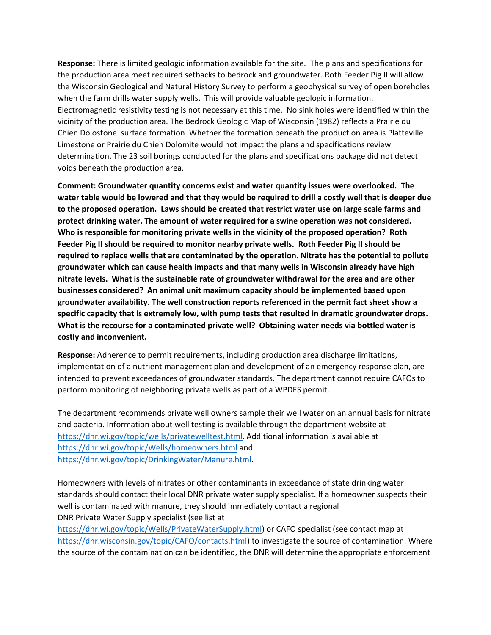**Response:** There is limited geologic information available for the site. The plans and specifications for the production area meet required setbacks to bedrock and groundwater. Roth Feeder Pig II will allow the Wisconsin Geological and Natural History Survey to perform a geophysical survey of open boreholes when the farm drills water supply wells. This will provide valuable geologic information. Electromagnetic resistivity testing is not necessary at this time. No sink holes were identified within the vicinity of the production area. The Bedrock Geologic Map of Wisconsin (1982) reflects a Prairie du Chien Dolostone surface formation. Whether the formation beneath the production area is Platteville Limestone or Prairie du Chien Dolomite would not impact the plans and specifications review determination. The 23 soil borings conducted for the plans and specifications package did not detect voids beneath the production area.

**Comment: Groundwater quantity concerns exist and water quantity issues were overlooked. The water table would be lowered and that they would be required to drill a costly well that is deeper due to the proposed operation. Laws should be created that restrict water use on large scale farms and protect drinking water. The amount of water required for a swine operation was not considered. Who is responsible for monitoring private wells in the vicinity of the proposed operation? Roth Feeder Pig II should be required to monitor nearby private wells. Roth Feeder Pig II should be required to replace wells that are contaminated by the operation. Nitrate has the potential to pollute groundwater which can cause health impacts and that many wells in Wisconsin already have high nitrate levels. What is the sustainable rate of groundwater withdrawal for the area and are other businesses considered? An animal unit maximum capacity should be implemented based upon groundwater availability. The well construction reports referenced in the permit fact sheet show a specific capacity that is extremely low, with pump tests that resulted in dramatic groundwater drops. What is the recourse for a contaminated private well? Obtaining water needs via bottled water is costly and inconvenient.** 

**Response:** Adherence to permit requirements, including production area discharge limitations, implementation of a nutrient management plan and development of an emergency response plan, are intended to prevent exceedances of groundwater standards. The department cannot require CAFOs to perform monitoring of neighboring private wells as part of a WPDES permit.

The department recommends private well owners sample their well water on an annual basis for nitrate and bacteria. Information about well testing is available through the department website at [https://dnr.wi.gov/topic/wells/privatewelltest.html.](https://dnr.wi.gov/topic/wells/privatewelltest.html) Additional information is available at <https://dnr.wi.gov/topic/Wells/homeowners.html> and [https://dnr.wi.gov/topic/DrinkingWater/Manure.html.](https://dnr.wi.gov/topic/DrinkingWater/Manure.html)

Homeowners with levels of nitrates or other contaminants in exceedance of state drinking water standards should contact their local DNR private water supply specialist. If a homeowner suspects their well is contaminated with manure, they should immediately contact a regional DNR Private Water Supply specialist (see list at

[https://dnr.wi.gov/topic/Wells/PrivateWaterSupply.html\)](https://dnr.wi.gov/topic/Wells/PrivateWaterSupply.html) or CAFO specialist (see contact map at [https://dnr.wisconsin.gov/topic/CAFO/contacts.html\)](https://dnr.wisconsin.gov/topic/CAFO/contacts.html) to investigate the source of contamination. Where the source of the contamination can be identified, the DNR will determine the appropriate enforcement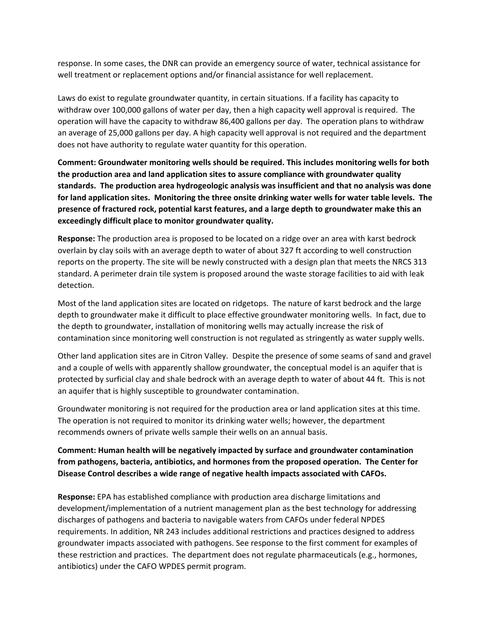response. In some cases, the DNR can provide an emergency source of water, technical assistance for well treatment or replacement options and/or financial assistance for well replacement.

Laws do exist to regulate groundwater quantity, in certain situations. If a facility has capacity to withdraw over 100,000 gallons of water per day, then a high capacity well approval is required. The operation will have the capacity to withdraw 86,400 gallons per day. The operation plans to withdraw an average of 25,000 gallons per day. A high capacity well approval is not required and the department does not have authority to regulate water quantity for this operation.

**Comment: Groundwater monitoring wells should be required. This includes monitoring wells for both the production area and land application sites to assure compliance with groundwater quality standards. The production area hydrogeologic analysis was insufficient and that no analysis was done for land application sites. Monitoring the three onsite drinking water wells for water table levels. The presence of fractured rock, potential karst features, and a large depth to groundwater make this an exceedingly difficult place to monitor groundwater quality.** 

**Response:** The production area is proposed to be located on a ridge over an area with karst bedrock overlain by clay soils with an average depth to water of about 327 ft according to well construction reports on the property. The site will be newly constructed with a design plan that meets the NRCS 313 standard. A perimeter drain tile system is proposed around the waste storage facilities to aid with leak detection.

Most of the land application sites are located on ridgetops. The nature of karst bedrock and the large depth to groundwater make it difficult to place effective groundwater monitoring wells. In fact, due to the depth to groundwater, installation of monitoring wells may actually increase the risk of contamination since monitoring well construction is not regulated as stringently as water supply wells.

Other land application sites are in Citron Valley. Despite the presence of some seams of sand and gravel and a couple of wells with apparently shallow groundwater, the conceptual model is an aquifer that is protected by surficial clay and shale bedrock with an average depth to water of about 44 ft. This is not an aquifer that is highly susceptible to groundwater contamination.

Groundwater monitoring is not required for the production area or land application sites at this time. The operation is not required to monitor its drinking water wells; however, the department recommends owners of private wells sample their wells on an annual basis.

## **Comment: Human health will be negatively impacted by surface and groundwater contamination from pathogens, bacteria, antibiotics, and hormones from the proposed operation. The Center for Disease Control describes a wide range of negative health impacts associated with CAFOs.**

**Response:** EPA has established compliance with production area discharge limitations and development/implementation of a nutrient management plan as the best technology for addressing discharges of pathogens and bacteria to navigable waters from CAFOs under federal NPDES requirements. In addition, NR 243 includes additional restrictions and practices designed to address groundwater impacts associated with pathogens. See response to the first comment for examples of these restriction and practices. The department does not regulate pharmaceuticals (e.g., hormones, antibiotics) under the CAFO WPDES permit program.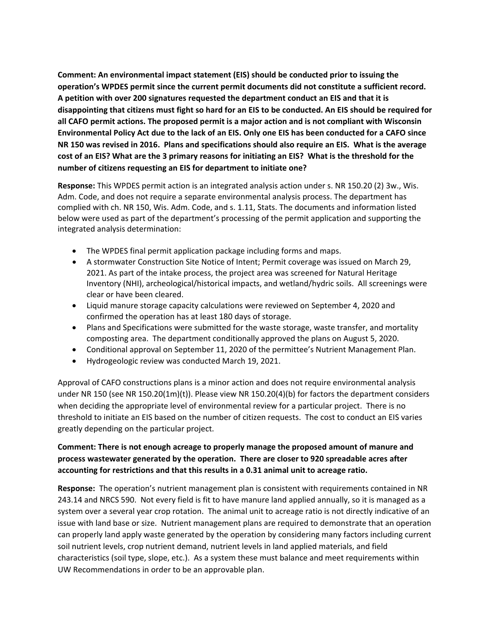**Comment: An environmental impact statement (EIS) should be conducted prior to issuing the operation's WPDES permit since the current permit documents did not constitute a sufficient record. A petition with over 200 signatures requested the department conduct an EIS and that it is disappointing that citizens must fight so hard for an EIS to be conducted. An EIS should be required for all CAFO permit actions. The proposed permit is a major action and is not compliant with Wisconsin Environmental Policy Act due to the lack of an EIS. Only one EIS has been conducted for a CAFO since NR 150 was revised in 2016. Plans and specifications should also require an EIS. What is the average cost of an EIS? What are the 3 primary reasons for initiating an EIS? What is the threshold for the number of citizens requesting an EIS for department to initiate one?**

**Response:** This WPDES permit action is an integrated analysis action under s. NR 150.20 (2) 3w., Wis. Adm. Code, and does not require a separate environmental analysis process. The department has complied with ch. NR 150, Wis. Adm. Code, and s. 1.11, Stats. The documents and information listed below were used as part of the department's processing of the permit application and supporting the integrated analysis determination:

- The WPDES final permit application package including forms and maps.
- A stormwater Construction Site Notice of Intent; Permit coverage was issued on March 29, 2021. As part of the intake process, the project area was screened for Natural Heritage Inventory (NHI), archeological/historical impacts, and wetland/hydric soils. All screenings were clear or have been cleared.
- Liquid manure storage capacity calculations were reviewed on September 4, 2020 and confirmed the operation has at least 180 days of storage.
- Plans and Specifications were submitted for the waste storage, waste transfer, and mortality composting area. The department conditionally approved the plans on August 5, 2020.
- Conditional approval on September 11, 2020 of the permittee's Nutrient Management Plan.
- Hydrogeologic review was conducted March 19, 2021.

Approval of CAFO constructions plans is a minor action and does not require environmental analysis under NR 150 (see NR 150.20(1m)(t)). Please view NR 150.20(4)(b) for factors the department considers when deciding the appropriate level of environmental review for a particular project. There is no threshold to initiate an EIS based on the number of citizen requests. The cost to conduct an EIS varies greatly depending on the particular project.

### **Comment: There is not enough acreage to properly manage the proposed amount of manure and process wastewater generated by the operation. There are closer to 920 spreadable acres after accounting for restrictions and that this results in a 0.31 animal unit to acreage ratio.**

**Response:** The operation's nutrient management plan is consistent with requirements contained in NR 243.14 and NRCS 590. Not every field is fit to have manure land applied annually, so it is managed as a system over a several year crop rotation. The animal unit to acreage ratio is not directly indicative of an issue with land base or size. Nutrient management plans are required to demonstrate that an operation can properly land apply waste generated by the operation by considering many factors including current soil nutrient levels, crop nutrient demand, nutrient levels in land applied materials, and field characteristics (soil type, slope, etc.). As a system these must balance and meet requirements within UW Recommendations in order to be an approvable plan.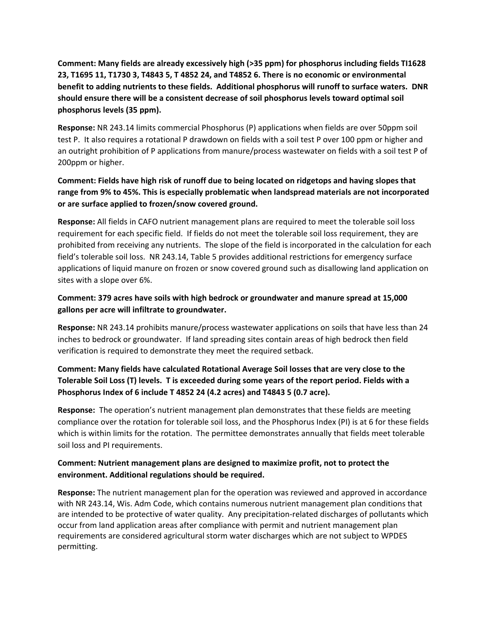**Comment: Many fields are already excessively high (>35 ppm) for phosphorus including fields TI1628 23, T1695 11, T1730 3, T4843 5, T 4852 24, and T4852 6. There is no economic or environmental benefit to adding nutrients to these fields. Additional phosphorus will runoff to surface waters. DNR should ensure there will be a consistent decrease of soil phosphorus levels toward optimal soil phosphorus levels (35 ppm).** 

**Response:** NR 243.14 limits commercial Phosphorus (P) applications when fields are over 50ppm soil test P. It also requires a rotational P drawdown on fields with a soil test P over 100 ppm or higher and an outright prohibition of P applications from manure/process wastewater on fields with a soil test P of 200ppm or higher.

# **Comment: Fields have high risk of runoff due to being located on ridgetops and having slopes that range from 9% to 45%. This is especially problematic when landspread materials are not incorporated or are surface applied to frozen/snow covered ground.**

**Response:** All fields in CAFO nutrient management plans are required to meet the tolerable soil loss requirement for each specific field. If fields do not meet the tolerable soil loss requirement, they are prohibited from receiving any nutrients. The slope of the field is incorporated in the calculation for each field's tolerable soil loss. NR 243.14, Table 5 provides additional restrictions for emergency surface applications of liquid manure on frozen or snow covered ground such as disallowing land application on sites with a slope over 6%.

# **Comment: 379 acres have soils with high bedrock or groundwater and manure spread at 15,000 gallons per acre will infiltrate to groundwater.**

**Response:** NR 243.14 prohibits manure/process wastewater applications on soils that have less than 24 inches to bedrock or groundwater. If land spreading sites contain areas of high bedrock then field verification is required to demonstrate they meet the required setback.

# **Comment: Many fields have calculated Rotational Average Soil losses that are very close to the Tolerable Soil Loss (T) levels. T is exceeded during some years of the report period. Fields with a Phosphorus Index of 6 include T 4852 24 (4.2 acres) and T4843 5 (0.7 acre).**

**Response:** The operation's nutrient management plan demonstrates that these fields are meeting compliance over the rotation for tolerable soil loss, and the Phosphorus Index (PI) is at 6 for these fields which is within limits for the rotation. The permittee demonstrates annually that fields meet tolerable soil loss and PI requirements.

## **Comment: Nutrient management plans are designed to maximize profit, not to protect the environment. Additional regulations should be required.**

**Response:** The nutrient management plan for the operation was reviewed and approved in accordance with NR 243.14, Wis. Adm Code, which contains numerous nutrient management plan conditions that are intended to be protective of water quality. Any precipitation-related discharges of pollutants which occur from land application areas after compliance with permit and nutrient management plan requirements are considered agricultural storm water discharges which are not subject to WPDES permitting.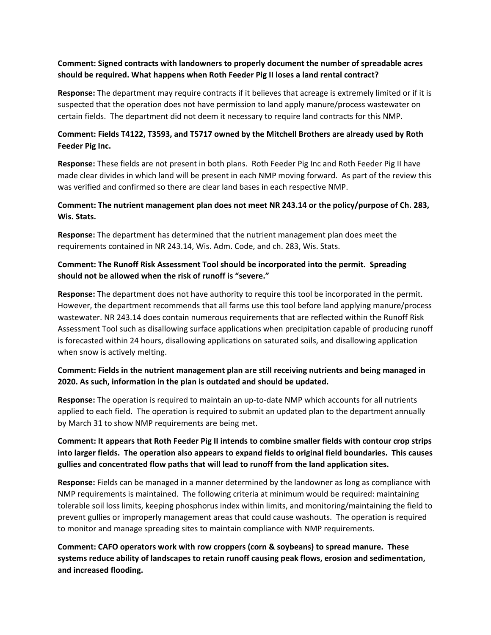#### **Comment: Signed contracts with landowners to properly document the number of spreadable acres should be required. What happens when Roth Feeder Pig II loses a land rental contract?**

**Response:** The department may require contracts if it believes that acreage is extremely limited or if it is suspected that the operation does not have permission to land apply manure/process wastewater on certain fields. The department did not deem it necessary to require land contracts for this NMP.

### **Comment: Fields T4122, T3593, and T5717 owned by the Mitchell Brothers are already used by Roth Feeder Pig Inc.**

**Response:** These fields are not present in both plans. Roth Feeder Pig Inc and Roth Feeder Pig II have made clear divides in which land will be present in each NMP moving forward. As part of the review this was verified and confirmed so there are clear land bases in each respective NMP.

#### **Comment: The nutrient management plan does not meet NR 243.14 or the policy/purpose of Ch. 283, Wis. Stats.**

**Response:** The department has determined that the nutrient management plan does meet the requirements contained in NR 243.14, Wis. Adm. Code, and ch. 283, Wis. Stats.

## **Comment: The Runoff Risk Assessment Tool should be incorporated into the permit. Spreading should not be allowed when the risk of runoff is "severe."**

**Response:** The department does not have authority to require this tool be incorporated in the permit. However, the department recommends that all farms use this tool before land applying manure/process wastewater. NR 243.14 does contain numerous requirements that are reflected within the Runoff Risk Assessment Tool such as disallowing surface applications when precipitation capable of producing runoff is forecasted within 24 hours, disallowing applications on saturated soils, and disallowing application when snow is actively melting.

## **Comment: Fields in the nutrient management plan are still receiving nutrients and being managed in 2020. As such, information in the plan is outdated and should be updated.**

**Response:** The operation is required to maintain an up-to-date NMP which accounts for all nutrients applied to each field. The operation is required to submit an updated plan to the department annually by March 31 to show NMP requirements are being met.

# **Comment: It appears that Roth Feeder Pig II intends to combine smaller fields with contour crop strips into larger fields. The operation also appears to expand fields to original field boundaries. This causes gullies and concentrated flow paths that will lead to runoff from the land application sites.**

**Response:** Fields can be managed in a manner determined by the landowner as long as compliance with NMP requirements is maintained. The following criteria at minimum would be required: maintaining tolerable soil loss limits, keeping phosphorus index within limits, and monitoring/maintaining the field to prevent gullies or improperly management areas that could cause washouts. The operation is required to monitor and manage spreading sites to maintain compliance with NMP requirements.

**Comment: CAFO operators work with row croppers (corn & soybeans) to spread manure. These systems reduce ability of landscapes to retain runoff causing peak flows, erosion and sedimentation, and increased flooding.**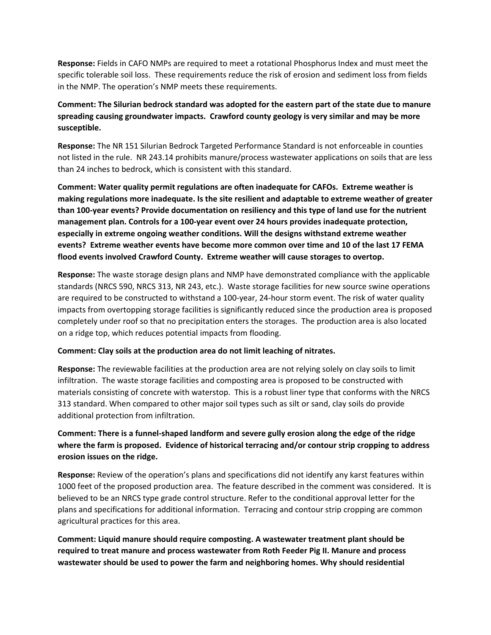**Response:** Fields in CAFO NMPs are required to meet a rotational Phosphorus Index and must meet the specific tolerable soil loss. These requirements reduce the risk of erosion and sediment loss from fields in the NMP. The operation's NMP meets these requirements.

## **Comment: The Silurian bedrock standard was adopted for the eastern part of the state due to manure spreading causing groundwater impacts. Crawford county geology is very similar and may be more susceptible.**

**Response:** The NR 151 Silurian Bedrock Targeted Performance Standard is not enforceable in counties not listed in the rule. NR 243.14 prohibits manure/process wastewater applications on soils that are less than 24 inches to bedrock, which is consistent with this standard.

**Comment: Water quality permit regulations are often inadequate for CAFOs. Extreme weather is making regulations more inadequate. Is the site resilient and adaptable to extreme weather of greater than 100-year events? Provide documentation on resiliency and this type of land use for the nutrient management plan. Controls for a 100-year event over 24 hours provides inadequate protection, especially in extreme ongoing weather conditions. Will the designs withstand extreme weather events? Extreme weather events have become more common over time and 10 of the last 17 FEMA flood events involved Crawford County. Extreme weather will cause storages to overtop.** 

**Response:** The waste storage design plans and NMP have demonstrated compliance with the applicable standards (NRCS 590, NRCS 313, NR 243, etc.). Waste storage facilities for new source swine operations are required to be constructed to withstand a 100-year, 24-hour storm event. The risk of water quality impacts from overtopping storage facilities is significantly reduced since the production area is proposed completely under roof so that no precipitation enters the storages. The production area is also located on a ridge top, which reduces potential impacts from flooding.

#### **Comment: Clay soils at the production area do not limit leaching of nitrates.**

**Response:** The reviewable facilities at the production area are not relying solely on clay soils to limit infiltration. The waste storage facilities and composting area is proposed to be constructed with materials consisting of concrete with waterstop. This is a robust liner type that conforms with the NRCS 313 standard. When compared to other major soil types such as silt or sand, clay soils do provide additional protection from infiltration.

## **Comment: There is a funnel-shaped landform and severe gully erosion along the edge of the ridge where the farm is proposed. Evidence of historical terracing and/or contour strip cropping to address erosion issues on the ridge.**

**Response:** Review of the operation's plans and specifications did not identify any karst features within 1000 feet of the proposed production area. The feature described in the comment was considered. It is believed to be an NRCS type grade control structure. Refer to the conditional approval letter for the plans and specifications for additional information. Terracing and contour strip cropping are common agricultural practices for this area.

**Comment: Liquid manure should require composting. A wastewater treatment plant should be required to treat manure and process wastewater from Roth Feeder Pig II. Manure and process wastewater should be used to power the farm and neighboring homes. Why should residential**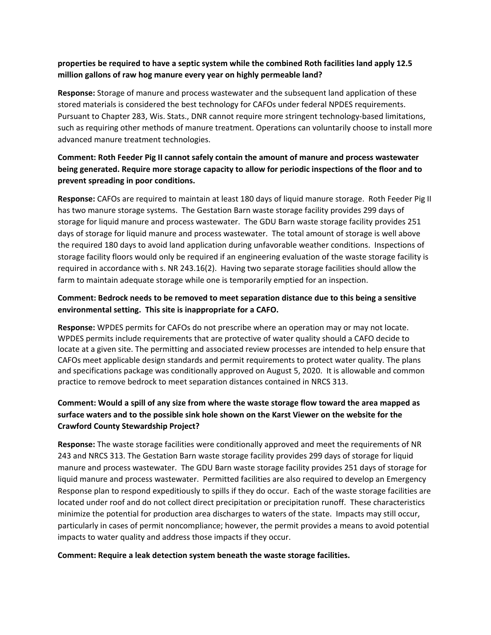#### **properties be required to have a septic system while the combined Roth facilities land apply 12.5 million gallons of raw hog manure every year on highly permeable land?**

**Response:** Storage of manure and process wastewater and the subsequent land application of these stored materials is considered the best technology for CAFOs under federal NPDES requirements. Pursuant to Chapter 283, Wis. Stats., DNR cannot require more stringent technology-based limitations, such as requiring other methods of manure treatment. Operations can voluntarily choose to install more advanced manure treatment technologies.

# **Comment: Roth Feeder Pig II cannot safely contain the amount of manure and process wastewater being generated. Require more storage capacity to allow for periodic inspections of the floor and to prevent spreading in poor conditions.**

**Response:** CAFOs are required to maintain at least 180 days of liquid manure storage. Roth Feeder Pig II has two manure storage systems. The Gestation Barn waste storage facility provides 299 days of storage for liquid manure and process wastewater. The GDU Barn waste storage facility provides 251 days of storage for liquid manure and process wastewater. The total amount of storage is well above the required 180 days to avoid land application during unfavorable weather conditions. Inspections of storage facility floors would only be required if an engineering evaluation of the waste storage facility is required in accordance with s. NR 243.16(2). Having two separate storage facilities should allow the farm to maintain adequate storage while one is temporarily emptied for an inspection.

## **Comment: Bedrock needs to be removed to meet separation distance due to this being a sensitive environmental setting. This site is inappropriate for a CAFO.**

**Response:** WPDES permits for CAFOs do not prescribe where an operation may or may not locate. WPDES permits include requirements that are protective of water quality should a CAFO decide to locate at a given site. The permitting and associated review processes are intended to help ensure that CAFOs meet applicable design standards and permit requirements to protect water quality. The plans and specifications package was conditionally approved on August 5, 2020. It is allowable and common practice to remove bedrock to meet separation distances contained in NRCS 313.

## **Comment: Would a spill of any size from where the waste storage flow toward the area mapped as surface waters and to the possible sink hole shown on the Karst Viewer on the website for the Crawford County Stewardship Project?**

**Response:** The waste storage facilities were conditionally approved and meet the requirements of NR 243 and NRCS 313. The Gestation Barn waste storage facility provides 299 days of storage for liquid manure and process wastewater. The GDU Barn waste storage facility provides 251 days of storage for liquid manure and process wastewater. Permitted facilities are also required to develop an Emergency Response plan to respond expeditiously to spills if they do occur. Each of the waste storage facilities are located under roof and do not collect direct precipitation or precipitation runoff. These characteristics minimize the potential for production area discharges to waters of the state. Impacts may still occur, particularly in cases of permit noncompliance; however, the permit provides a means to avoid potential impacts to water quality and address those impacts if they occur.

#### **Comment: Require a leak detection system beneath the waste storage facilities.**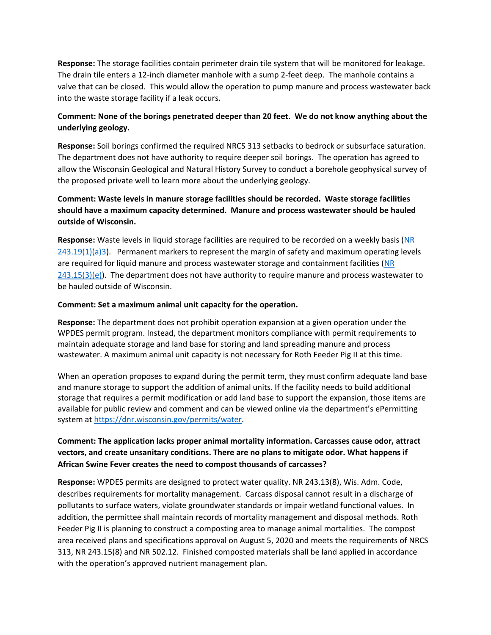**Response:** The storage facilities contain perimeter drain tile system that will be monitored for leakage. The drain tile enters a 12-inch diameter manhole with a sump 2-feet deep. The manhole contains a valve that can be closed. This would allow the operation to pump manure and process wastewater back into the waste storage facility if a leak occurs.

## **Comment: None of the borings penetrated deeper than 20 feet. We do not know anything about the underlying geology.**

**Response:** Soil borings confirmed the required NRCS 313 setbacks to bedrock or subsurface saturation. The department does not have authority to require deeper soil borings. The operation has agreed to allow the Wisconsin Geological and Natural History Survey to conduct a borehole geophysical survey of the proposed private well to learn more about the underlying geology.

# **Comment: Waste levels in manure storage facilities should be recorded. Waste storage facilities should have a maximum capacity determined. Manure and process wastewater should be hauled outside of Wisconsin.**

**Response:** Waste levels in liquid storage facilities are required to be recorded on a weekly basis [\(NR](https://docs.legis.wisconsin.gov/document/administrativecode/NR%20243.19(1)(a)3.)   $243.19(1)(a)3$ . Permanent markers to represent the margin of safety and maximum operating levels are required for liquid manure and process wastewater storage and containment facilities [\(NR](https://docs.legis.wisconsin.gov/document/administrativecode/NR%20243.15(3)(e))   $243.15(3)(e)$ ). The department does not have authority to require manure and process wastewater to be hauled outside of Wisconsin.

#### **Comment: Set a maximum animal unit capacity for the operation.**

**Response:** The department does not prohibit operation expansion at a given operation under the WPDES permit program. Instead, the department monitors compliance with permit requirements to maintain adequate storage and land base for storing and land spreading manure and process wastewater. A maximum animal unit capacity is not necessary for Roth Feeder Pig II at this time.

When an operation proposes to expand during the permit term, they must confirm adequate land base and manure storage to support the addition of animal units. If the facility needs to build additional storage that requires a permit modification or add land base to support the expansion, those items are available for public review and comment and can be viewed online via the department's ePermitting system at [https://dnr.wisconsin.gov/permits/water.](https://dnr.wisconsin.gov/permits/water)

## **Comment: The application lacks proper animal mortality information. Carcasses cause odor, attract vectors, and create unsanitary conditions. There are no plans to mitigate odor. What happens if African Swine Fever creates the need to compost thousands of carcasses?**

**Response:** WPDES permits are designed to protect water quality. NR 243.13(8), Wis. Adm. Code, describes requirements for mortality management. Carcass disposal cannot result in a discharge of pollutants to surface waters, violate groundwater standards or impair wetland functional values. In addition, the permittee shall maintain records of mortality management and disposal methods. Roth Feeder Pig II is planning to construct a composting area to manage animal mortalities. The compost area received plans and specifications approval on August 5, 2020 and meets the requirements of NRCS 313, NR 243.15(8) and NR 502.12. Finished composted materials shall be land applied in accordance with the operation's approved nutrient management plan.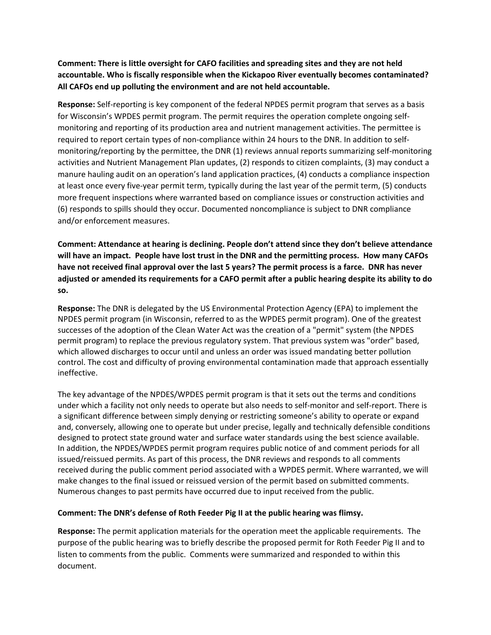**Comment: There is little oversight for CAFO facilities and spreading sites and they are not held accountable. Who is fiscally responsible when the Kickapoo River eventually becomes contaminated? All CAFOs end up polluting the environment and are not held accountable.**

**Response:** Self-reporting is key component of the federal NPDES permit program that serves as a basis for Wisconsin's WPDES permit program. The permit requires the operation complete ongoing selfmonitoring and reporting of its production area and nutrient management activities. The permittee is required to report certain types of non-compliance within 24 hours to the DNR. In addition to selfmonitoring/reporting by the permittee, the DNR (1) reviews annual reports summarizing self-monitoring activities and Nutrient Management Plan updates, (2) responds to citizen complaints, (3) may conduct a manure hauling audit on an operation's land application practices, (4) conducts a compliance inspection at least once every five-year permit term, typically during the last year of the permit term, (5) conducts more frequent inspections where warranted based on compliance issues or construction activities and (6) responds to spills should they occur. Documented noncompliance is subject to DNR compliance and/or enforcement measures.

**Comment: Attendance at hearing is declining. People don't attend since they don't believe attendance will have an impact. People have lost trust in the DNR and the permitting process. How many CAFOs have not received final approval over the last 5 years? The permit process is a farce. DNR has never adjusted or amended its requirements for a CAFO permit after a public hearing despite its ability to do so.** 

**Response:** The DNR is delegated by the US Environmental Protection Agency (EPA) to implement the NPDES permit program (in Wisconsin, referred to as the WPDES permit program). One of the greatest successes of the adoption of the Clean Water Act was the creation of a "permit" system (the NPDES permit program) to replace the previous regulatory system. That previous system was "order" based, which allowed discharges to occur until and unless an order was issued mandating better pollution control. The cost and difficulty of proving environmental contamination made that approach essentially ineffective.

The key advantage of the NPDES/WPDES permit program is that it sets out the terms and conditions under which a facility not only needs to operate but also needs to self-monitor and self-report. There is a significant difference between simply denying or restricting someone's ability to operate or expand and, conversely, allowing one to operate but under precise, legally and technically defensible conditions designed to protect state ground water and surface water standards using the best science available. In addition, the NPDES/WPDES permit program requires public notice of and comment periods for all issued/reissued permits. As part of this process, the DNR reviews and responds to all comments received during the public comment period associated with a WPDES permit. Where warranted, we will make changes to the final issued or reissued version of the permit based on submitted comments. Numerous changes to past permits have occurred due to input received from the public.

#### **Comment: The DNR's defense of Roth Feeder Pig II at the public hearing was flimsy.**

**Response:** The permit application materials for the operation meet the applicable requirements. The purpose of the public hearing was to briefly describe the proposed permit for Roth Feeder Pig II and to listen to comments from the public. Comments were summarized and responded to within this document.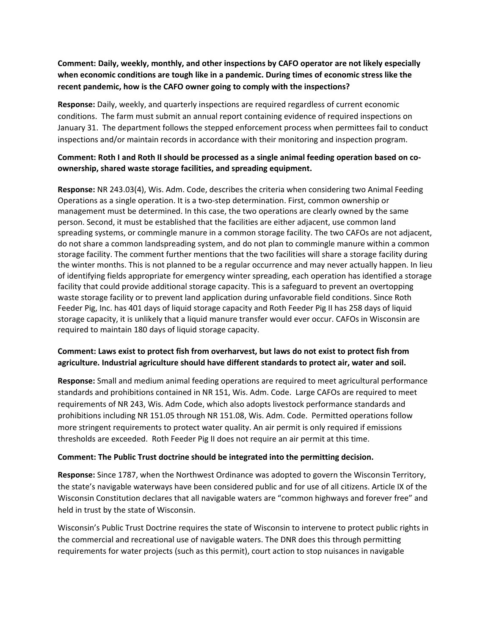## **Comment: Daily, weekly, monthly, and other inspections by CAFO operator are not likely especially when economic conditions are tough like in a pandemic. During times of economic stress like the recent pandemic, how is the CAFO owner going to comply with the inspections?**

**Response:** Daily, weekly, and quarterly inspections are required regardless of current economic conditions. The farm must submit an annual report containing evidence of required inspections on January 31. The department follows the stepped enforcement process when permittees fail to conduct inspections and/or maintain records in accordance with their monitoring and inspection program.

#### **Comment: Roth I and Roth II should be processed as a single animal feeding operation based on coownership, shared waste storage facilities, and spreading equipment.**

**Response:** NR 243.03(4), Wis. Adm. Code, describes the criteria when considering two Animal Feeding Operations as a single operation. It is a two-step determination. First, common ownership or management must be determined. In this case, the two operations are clearly owned by the same person. Second, it must be established that the facilities are either adjacent, use common land spreading systems, or commingle manure in a common storage facility. The two CAFOs are not adjacent, do not share a common landspreading system, and do not plan to commingle manure within a common storage facility. The comment further mentions that the two facilities will share a storage facility during the winter months. This is not planned to be a regular occurrence and may never actually happen. In lieu of identifying fields appropriate for emergency winter spreading, each operation has identified a storage facility that could provide additional storage capacity. This is a safeguard to prevent an overtopping waste storage facility or to prevent land application during unfavorable field conditions. Since Roth Feeder Pig, Inc. has 401 days of liquid storage capacity and Roth Feeder Pig II has 258 days of liquid storage capacity, it is unlikely that a liquid manure transfer would ever occur. CAFOs in Wisconsin are required to maintain 180 days of liquid storage capacity.

#### **Comment: Laws exist to protect fish from overharvest, but laws do not exist to protect fish from agriculture. Industrial agriculture should have different standards to protect air, water and soil.**

**Response:** Small and medium animal feeding operations are required to meet agricultural performance standards and prohibitions contained in NR 151, Wis. Adm. Code. Large CAFOs are required to meet requirements of NR 243, Wis. Adm Code, which also adopts livestock performance standards and prohibitions including NR 151.05 through NR 151.08, Wis. Adm. Code. Permitted operations follow more stringent requirements to protect water quality. An air permit is only required if emissions thresholds are exceeded. Roth Feeder Pig II does not require an air permit at this time.

#### **Comment: The Public Trust doctrine should be integrated into the permitting decision.**

**Response:** Since 1787, when the Northwest Ordinance was adopted to govern the Wisconsin Territory, the state's navigable waterways have been considered public and for use of all citizens. Article IX of the Wisconsin Constitution declares that all navigable waters are "common highways and forever free" and held in trust by the state of Wisconsin.

Wisconsin's Public Trust Doctrine requires the state of Wisconsin to intervene to protect public rights in the commercial and recreational use of navigable waters. The DNR does this through permitting requirements for water projects (such as this permit), court action to stop nuisances in navigable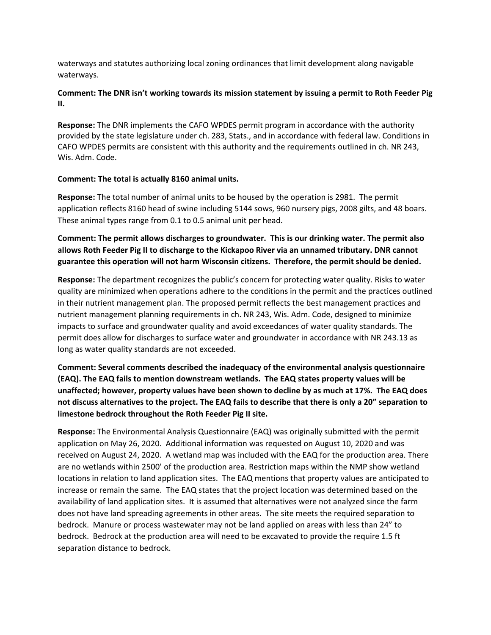waterways and statutes authorizing local zoning ordinances that limit development along navigable waterways.

#### **Comment: The DNR isn't working towards its mission statement by issuing a permit to Roth Feeder Pig II.**

**Response:** The DNR implements the CAFO WPDES permit program in accordance with the authority provided by the state legislature under ch. 283, Stats., and in accordance with federal law. Conditions in CAFO WPDES permits are consistent with this authority and the requirements outlined in ch. NR 243, Wis. Adm. Code.

#### **Comment: The total is actually 8160 animal units.**

**Response:** The total number of animal units to be housed by the operation is 2981. The permit application reflects 8160 head of swine including 5144 sows, 960 nursery pigs, 2008 gilts, and 48 boars. These animal types range from 0.1 to 0.5 animal unit per head.

**Comment: The permit allows discharges to groundwater. This is our drinking water. The permit also allows Roth Feeder Pig II to discharge to the Kickapoo River via an unnamed tributary. DNR cannot guarantee this operation will not harm Wisconsin citizens. Therefore, the permit should be denied.** 

**Response:** The department recognizes the public's concern for protecting water quality. Risks to water quality are minimized when operations adhere to the conditions in the permit and the practices outlined in their nutrient management plan. The proposed permit reflects the best management practices and nutrient management planning requirements in ch. NR 243, Wis. Adm. Code, designed to minimize impacts to surface and groundwater quality and avoid exceedances of water quality standards. The permit does allow for discharges to surface water and groundwater in accordance with NR 243.13 as long as water quality standards are not exceeded.

**Comment: Several comments described the inadequacy of the environmental analysis questionnaire (EAQ). The EAQ fails to mention downstream wetlands. The EAQ states property values will be unaffected; however, property values have been shown to decline by as much at 17%. The EAQ does not discuss alternatives to the project. The EAQ fails to describe that there is only a 20" separation to limestone bedrock throughout the Roth Feeder Pig II site.**

**Response:** The Environmental Analysis Questionnaire (EAQ) was originally submitted with the permit application on May 26, 2020. Additional information was requested on August 10, 2020 and was received on August 24, 2020. A wetland map was included with the EAQ for the production area. There are no wetlands within 2500' of the production area. Restriction maps within the NMP show wetland locations in relation to land application sites. The EAQ mentions that property values are anticipated to increase or remain the same. The EAQ states that the project location was determined based on the availability of land application sites. It is assumed that alternatives were not analyzed since the farm does not have land spreading agreements in other areas. The site meets the required separation to bedrock. Manure or process wastewater may not be land applied on areas with less than 24" to bedrock. Bedrock at the production area will need to be excavated to provide the require 1.5 ft separation distance to bedrock.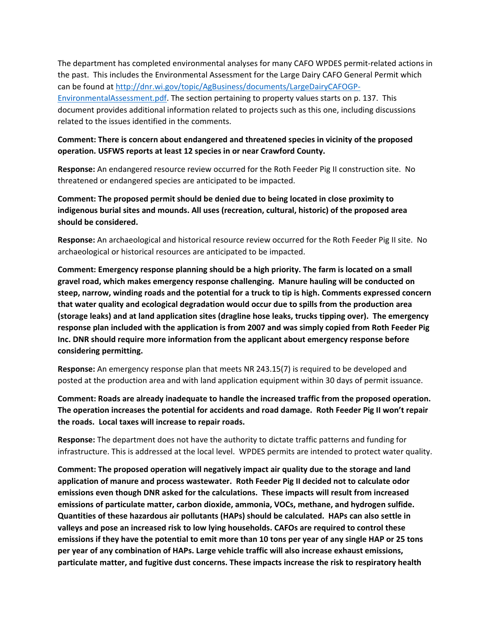The department has completed environmental analyses for many CAFO WPDES permit-related actions in the past. This includes the Environmental Assessment for the Large Dairy CAFO General Permit which can be found at [http://dnr.wi.gov/topic/AgBusiness/documents/LargeDairyCAFOGP-](http://dnr.wi.gov/topic/AgBusiness/documents/LargeDairyCAFOGP-EnvironmentalAssessment.pdf)[EnvironmentalAssessment.pdf.](http://dnr.wi.gov/topic/AgBusiness/documents/LargeDairyCAFOGP-EnvironmentalAssessment.pdf) The section pertaining to property values starts on p. 137. This document provides additional information related to projects such as this one, including discussions related to the issues identified in the comments.

#### **Comment: There is concern about endangered and threatened species in vicinity of the proposed operation. USFWS reports at least 12 species in or near Crawford County.**

**Response:** An endangered resource review occurred for the Roth Feeder Pig II construction site. No threatened or endangered species are anticipated to be impacted.

**Comment: The proposed permit should be denied due to being located in close proximity to indigenous burial sites and mounds. All uses (recreation, cultural, historic) of the proposed area should be considered.** 

**Response:** An archaeological and historical resource review occurred for the Roth Feeder Pig II site. No archaeological or historical resources are anticipated to be impacted.

**Comment: Emergency response planning should be a high priority. The farm is located on a small gravel road, which makes emergency response challenging. Manure hauling will be conducted on steep, narrow, winding roads and the potential for a truck to tip is high. Comments expressed concern that water quality and ecological degradation would occur due to spills from the production area (storage leaks) and at land application sites (dragline hose leaks, trucks tipping over). The emergency response plan included with the application is from 2007 and was simply copied from Roth Feeder Pig Inc. DNR should require more information from the applicant about emergency response before considering permitting.** 

**Response:** An emergency response plan that meets NR 243.15(7) is required to be developed and posted at the production area and with land application equipment within 30 days of permit issuance.

**Comment: Roads are already inadequate to handle the increased traffic from the proposed operation. The operation increases the potential for accidents and road damage. Roth Feeder Pig II won't repair the roads. Local taxes will increase to repair roads.** 

**Response:** The department does not have the authority to dictate traffic patterns and funding for infrastructure. This is addressed at the local level. WPDES permits are intended to protect water quality.

**Comment: The proposed operation will negatively impact air quality due to the storage and land application of manure and process wastewater. Roth Feeder Pig II decided not to calculate odor emissions even though DNR asked for the calculations. These impacts will result from increased emissions of particulate matter, carbon dioxide, ammonia, VOCs, methane, and hydrogen sulfide. Quantities of these hazardous air pollutants (HAPs) should be calculated. HAPs can also settle in valleys and pose an increased risk to low lying households. CAFOs are required to control these emissions if they have the potential to emit more than 10 tons per year of any single HAP or 25 tons per year of any combination of HAPs. Large vehicle traffic will also increase exhaust emissions, particulate matter, and fugitive dust concerns. These impacts increase the risk to respiratory health**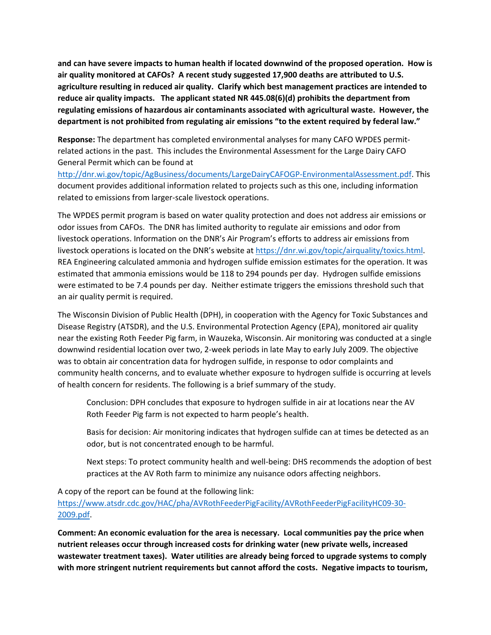**and can have severe impacts to human health if located downwind of the proposed operation. How is air quality monitored at CAFOs? A recent study suggested 17,900 deaths are attributed to U.S. agriculture resulting in reduced air quality. Clarify which best management practices are intended to reduce air quality impacts. The applicant stated NR 445.08(6)(d) prohibits the department from regulating emissions of hazardous air contaminants associated with agricultural waste. However, the department is not prohibited from regulating air emissions "to the extent required by federal law."** 

**Response:** The department has completed environmental analyses for many CAFO WPDES permitrelated actions in the past. This includes the Environmental Assessment for the Large Dairy CAFO General Permit which can be found at

[http://dnr.wi.gov/topic/AgBusiness/documents/LargeDairyCAFOGP-EnvironmentalAssessment.pdf.](http://dnr.wi.gov/topic/AgBusiness/documents/LargeDairyCAFOGP-EnvironmentalAssessment.pdf) This document provides additional information related to projects such as this one, including information related to emissions from larger-scale livestock operations.

The WPDES permit program is based on water quality protection and does not address air emissions or odor issues from CAFOs. The DNR has limited authority to regulate air emissions and odor from livestock operations. Information on the DNR's Air Program's efforts to address air emissions from livestock operations is located on the DNR's website at [https://dnr.wi.gov/topic/airquality/toxics.html.](https://dnr.wi.gov/topic/airquality/toxics.html) REA Engineering calculated ammonia and hydrogen sulfide emission estimates for the operation. It was estimated that ammonia emissions would be 118 to 294 pounds per day. Hydrogen sulfide emissions were estimated to be 7.4 pounds per day. Neither estimate triggers the emissions threshold such that an air quality permit is required.

The Wisconsin Division of Public Health (DPH), in cooperation with the Agency for Toxic Substances and Disease Registry (ATSDR), and the U.S. Environmental Protection Agency (EPA), monitored air quality near the existing Roth Feeder Pig farm, in Wauzeka, Wisconsin. Air monitoring was conducted at a single downwind residential location over two, 2-week periods in late May to early July 2009. The objective was to obtain air concentration data for hydrogen sulfide, in response to odor complaints and community health concerns, and to evaluate whether exposure to hydrogen sulfide is occurring at levels of health concern for residents. The following is a brief summary of the study.

Conclusion: DPH concludes that exposure to hydrogen sulfide in air at locations near the AV Roth Feeder Pig farm is not expected to harm people's health.

Basis for decision: Air monitoring indicates that hydrogen sulfide can at times be detected as an odor, but is not concentrated enough to be harmful.

Next steps: To protect community health and well-being: DHS recommends the adoption of best practices at the AV Roth farm to minimize any nuisance odors affecting neighbors.

A copy of the report can be found at the following link:

[https://www.atsdr.cdc.gov/HAC/pha/AVRothFeederPigFacility/AVRothFeederPigFacilityHC09-30-](https://www.atsdr.cdc.gov/HAC/pha/AVRothFeederPigFacility/AVRothFeederPigFacilityHC09-30-2009.pdf) [2009.pdf.](https://www.atsdr.cdc.gov/HAC/pha/AVRothFeederPigFacility/AVRothFeederPigFacilityHC09-30-2009.pdf)

**Comment: An economic evaluation for the area is necessary. Local communities pay the price when nutrient releases occur through increased costs for drinking water (new private wells, increased wastewater treatment taxes). Water utilities are already being forced to upgrade systems to comply with more stringent nutrient requirements but cannot afford the costs. Negative impacts to tourism,**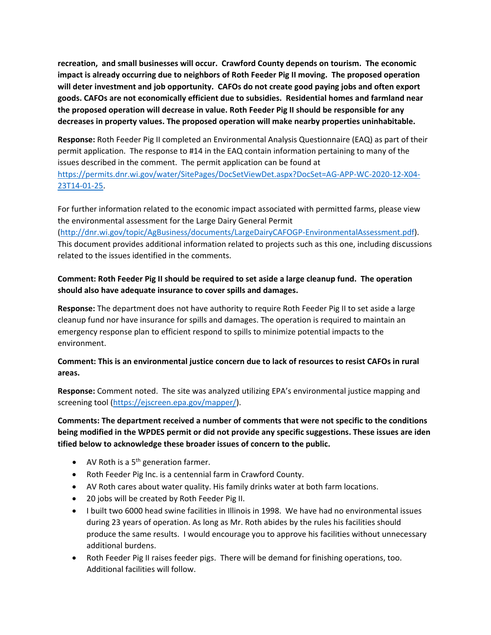**recreation, and small businesses will occur. Crawford County depends on tourism. The economic impact is already occurring due to neighbors of Roth Feeder Pig II moving. The proposed operation will deter investment and job opportunity. CAFOs do not create good paying jobs and often export goods. CAFOs are not economically efficient due to subsidies. Residential homes and farmland near the proposed operation will decrease in value. Roth Feeder Pig II should be responsible for any decreases in property values. The proposed operation will make nearby properties uninhabitable.**

**Response:** Roth Feeder Pig II completed an Environmental Analysis Questionnaire (EAQ) as part of their permit application. The response to #14 in the EAQ contain information pertaining to many of the issues described in the comment. The permit application can be found at [https://permits.dnr.wi.gov/water/SitePages/DocSetViewDet.aspx?DocSet=AG-APP-WC-2020-12-X04-](https://permits.dnr.wi.gov/water/SitePages/DocSetViewDet.aspx?DocSet=AG-APP-WC-2020-12-X04-23T14-01-25) [23T14-01-25.](https://permits.dnr.wi.gov/water/SitePages/DocSetViewDet.aspx?DocSet=AG-APP-WC-2020-12-X04-23T14-01-25)

For further information related to the economic impact associated with permitted farms, please view the environmental assessment for the Large Dairy General Permit

[\(http://dnr.wi.gov/topic/AgBusiness/documents/LargeDairyCAFOGP-EnvironmentalAssessment.pdf\)](http://dnr.wi.gov/topic/AgBusiness/documents/LargeDairyCAFOGP-EnvironmentalAssessment.pdf). This document provides additional information related to projects such as this one, including discussions related to the issues identified in the comments.

## **Comment: Roth Feeder Pig II should be required to set aside a large cleanup fund. The operation should also have adequate insurance to cover spills and damages.**

**Response:** The department does not have authority to require Roth Feeder Pig II to set aside a large cleanup fund nor have insurance for spills and damages. The operation is required to maintain an emergency response plan to efficient respond to spills to minimize potential impacts to the environment.

## **Comment: This is an environmental justice concern due to lack of resources to resist CAFOs in rural areas.**

**Response:** Comment noted. The site was analyzed utilizing EPA's environmental justice mapping and screening tool [\(https://ejscreen.epa.gov/mapper/\)](https://ejscreen.epa.gov/mapper/).

**Comments: The department received a number of comments that were not specific to the conditions being modified in the WPDES permit or did not provide any specific suggestions. These issues are iden tified below to acknowledge these broader issues of concern to the public.**

- AV Roth is a  $5<sup>th</sup>$  generation farmer.
- Roth Feeder Pig Inc. is a centennial farm in Crawford County.
- AV Roth cares about water quality. His family drinks water at both farm locations.
- 20 jobs will be created by Roth Feeder Pig II.
- I built two 6000 head swine facilities in Illinois in 1998. We have had no environmental issues during 23 years of operation. As long as Mr. Roth abides by the rules his facilities should produce the same results.I would encourage you to approve his facilities without unnecessary additional burdens.
- Roth Feeder Pig II raises feeder pigs. There will be demand for finishing operations, too. Additional facilities will follow.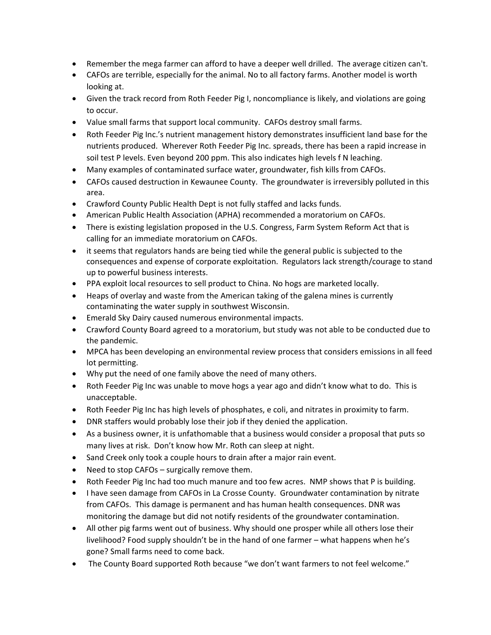- Remember the mega farmer can afford to have a deeper well drilled. The average citizen can't.
- CAFOs are terrible, especially for the animal. No to all factory farms. Another model is worth looking at.
- Given the track record from Roth Feeder Pig I, noncompliance is likely, and violations are going to occur.
- Value small farms that support local community. CAFOs destroy small farms.
- Roth Feeder Pig Inc.'s nutrient management history demonstrates insufficient land base for the nutrients produced. Wherever Roth Feeder Pig Inc. spreads, there has been a rapid increase in soil test P levels. Even beyond 200 ppm. This also indicates high levels f N leaching.
- Many examples of contaminated surface water, groundwater, fish kills from CAFOs.
- CAFOs caused destruction in Kewaunee County. The groundwater is irreversibly polluted in this area.
- Crawford County Public Health Dept is not fully staffed and lacks funds.
- American Public Health Association (APHA) recommended a moratorium on CAFOs.
- There is existing legislation proposed in the U.S. Congress, Farm System Reform Act that is calling for an immediate moratorium on CAFOs.
- it seems that regulators hands are being tied while the general public is subjected to the consequences and expense of corporate exploitation. Regulators lack strength/courage to stand up to powerful business interests.
- PPA exploit local resources to sell product to China. No hogs are marketed locally.
- Heaps of overlay and waste from the American taking of the galena mines is currently contaminating the water supply in southwest Wisconsin.
- Emerald Sky Dairy caused numerous environmental impacts.
- Crawford County Board agreed to a moratorium, but study was not able to be conducted due to the pandemic.
- MPCA has been developing an environmental review process that considers emissions in all feed lot permitting.
- Why put the need of one family above the need of many others.
- Roth Feeder Pig Inc was unable to move hogs a year ago and didn't know what to do. This is unacceptable.
- Roth Feeder Pig Inc has high levels of phosphates, e coli, and nitrates in proximity to farm.
- DNR staffers would probably lose their job if they denied the application.
- As a business owner, it is unfathomable that a business would consider a proposal that puts so many lives at risk. Don't know how Mr. Roth can sleep at night.
- Sand Creek only took a couple hours to drain after a major rain event.
- Need to stop CAFOs surgically remove them.
- Roth Feeder Pig Inc had too much manure and too few acres. NMP shows that P is building.
- I have seen damage from CAFOs in La Crosse County. Groundwater contamination by nitrate from CAFOs. This damage is permanent and has human health consequences. DNR was monitoring the damage but did not notify residents of the groundwater contamination.
- All other pig farms went out of business. Why should one prosper while all others lose their livelihood? Food supply shouldn't be in the hand of one farmer – what happens when he's gone? Small farms need to come back.
- The County Board supported Roth because "we don't want farmers to not feel welcome."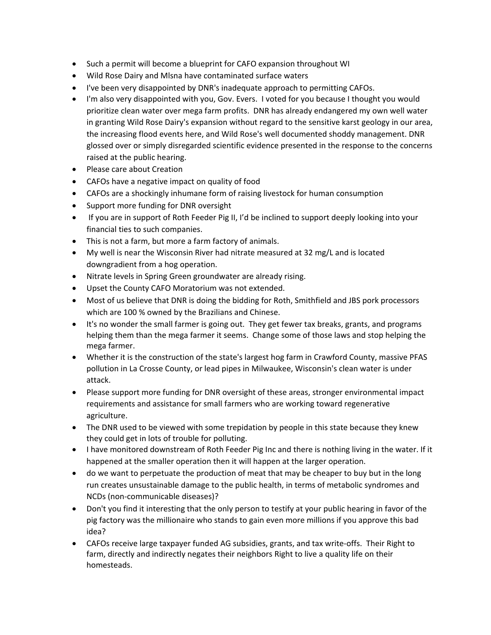- Such a permit will become a blueprint for CAFO expansion throughout WI
- Wild Rose Dairy and Mlsna have contaminated surface waters
- I've been very disappointed by DNR's inadequate approach to permitting CAFOs.
- I'm also very disappointed with you, Gov. Evers. I voted for you because I thought you would prioritize clean water over mega farm profits. DNR has already endangered my own well water in granting Wild Rose Dairy's expansion without regard to the sensitive karst geology in our area, the increasing flood events here, and Wild Rose's well documented shoddy management. DNR glossed over or simply disregarded scientific evidence presented in the response to the concerns raised at the public hearing.
- Please care about Creation
- CAFOs have a negative impact on quality of food
- CAFOs are a shockingly inhumane form of raising livestock for human consumption
- Support more funding for DNR oversight
- If you are in support of Roth Feeder Pig II, I'd be inclined to support deeply looking into your financial ties to such companies.
- This is not a farm, but more a farm factory of animals.
- My well is near the Wisconsin River had nitrate measured at 32 mg/L and is located downgradient from a hog operation.
- Nitrate levels in Spring Green groundwater are already rising.
- Upset the County CAFO Moratorium was not extended.
- Most of us believe that DNR is doing the bidding for Roth, Smithfield and JBS pork processors which are 100 % owned by the Brazilians and Chinese.
- It's no wonder the small farmer is going out. They get fewer tax breaks, grants, and programs helping them than the mega farmer it seems. Change some of those laws and stop helping the mega farmer.
- Whether it is the construction of the state's largest hog farm in Crawford County, massive PFAS pollution in La Crosse County, or lead pipes in Milwaukee, Wisconsin's clean water is under attack.
- Please support more funding for DNR oversight of these areas, stronger environmental impact requirements and assistance for small farmers who are working toward regenerative agriculture.
- The DNR used to be viewed with some trepidation by people in this state because they knew they could get in lots of trouble for polluting.
- I have monitored downstream of Roth Feeder Pig Inc and there is nothing living in the water. If it happened at the smaller operation then it will happen at the larger operation.
- do we want to perpetuate the production of meat that may be cheaper to buy but in the long run creates unsustainable damage to the public health, in terms of metabolic syndromes and NCDs (non-communicable diseases)?
- Don't you find it interesting that the only person to testify at your public hearing in favor of the pig factory was the millionaire who stands to gain even more millions if you approve this bad idea?
- CAFOs receive large taxpayer funded AG subsidies, grants, and tax write-offs. Their Right to farm, directly and indirectly negates their neighbors Right to live a quality life on their homesteads.